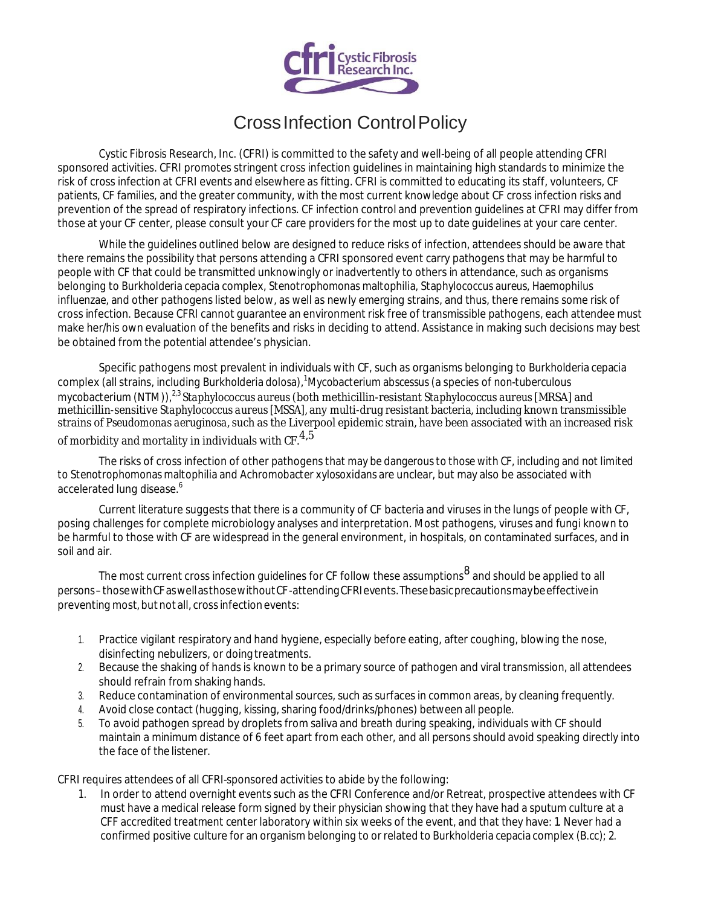

## CrossInfection ControlPolicy

Cystic Fibrosis Research, Inc. (CFRI) is committed to the safety and well-being of all people attending CFRI sponsored activities. CFRI promotes stringent cross infection guidelines in maintaining high standards to minimize the risk of cross infection at CFRI events and elsewhere as fitting. CFRI is committed to educating its staff, volunteers, CF patients, CF families, and the greater community, with the most current knowledge about CF cross infection risks and prevention of the spread of respiratory infections. CF infection control and prevention guidelines at CFRI may differ from those at your CF center, please consult your CF care providers for the most up to date guidelines at your care center.

While the guidelines outlined below are designed to reduce risks of infection, attendees should be aware that there remains the possibility that persons attending a CFRI sponsored event carry pathogens that may be harmful to people with CF that could be transmitted unknowingly or inadvertently to others in attendance, such as organisms belonging to *Burkholderia cepacia* complex, *Stenotrophomonas maltophilia, Staphylococcus aureus, Haemophilus influenzae,* and other pathogens listed below, as well as newly emerging strains, and thus, there remains some risk of cross infection. Because CFRI cannot guarantee an environment risk free of transmissible pathogens, each attendee must make her/his own evaluation of the benefits and risks in deciding to attend. Assistance in making such decisions may best be obtained from the potential attendee's physician.

Specific pathogens most prevalent in individuals with CF, such as organisms belonging to *Burkholderia cepacia*  complex (all strains, including *Burkholderia dolosa*),<sup>1</sup>*Mycobacterium abscessus (*a species of *non-tuberculous mycobacterium* (NTM)),<sup>2,3</sup> Staphylococcus aureus (both methicillin-resistant Staphylococcus aureus [MRSA] and methicillin-sensitive *Staphylococcus aureus [MSSA],* any multi-drug resistant bacteria, including known transmissible strains of *Pseudomonas aeruginosa,* such as the Liverpool epidemic strain, have been associated with an increased risk of morbidity and mortality in individuals with CF. $^{4,5}$ 

The risks of cross infection of other pathogens *that may be dangerous to those with CF, including and not limited to Stenotrophomonas maltophilia* and *Achromobacter xylosoxidans* are unclear, but may also be associated with accelerated lung disease.<sup>6</sup>

Current literature suggests that there is a community of CF bacteria and viruses in the lungs of people with CF, posing challenges for complete microbiology analyses and interpretation. Most pathogens, viruses and fungi known to be harmful to those with CF are widespread in the general environment, in hospitals, on contaminated surfaces, and in soil and air.

The most current cross infection guidelines for CF follow these assumptions<sup>8</sup> and should be applied to all *persons*–thosewithCFaswellasthosewithoutCF-attendingCFRIevents.Thesebasicprecautionsmaybeeffectivein preventing most, but not all, cross infection events:

- 1. Practice vigilant respiratory and hand hygiene, especially before eating, after coughing, blowing the nose, disinfecting nebulizers, or doing treatments.
- 2. Because the shaking of hands is known to be a primary source of pathogen and viral transmission, all attendees should refrain from shaking hands.
- 3. Reduce contamination of environmental sources, such as surfaces in common areas, by cleaning frequently.
- 4. Avoid close contact (hugging, kissing, sharing food/drinks/phones) between all people.
- 5. To avoid pathogen spread by droplets from saliva and breath during speaking, individuals with CF should maintain a minimum distance of 6 feet apart from each other, and all persons should avoid speaking directly into the face of the listener.

CFRI requires attendees of all CFRI-sponsored activities to abide by the following:

1. In order to attend overnight events such as the CFRI Conference and/or Retreat, prospective attendees with CF must have a medical release form signed by their physician showing that they have had a sputum culture at a CFF accredited treatment center laboratory within six weeks of the event, and that they have: 1. Never had a confirmed positive culture for an organism belonging to orrelated to *Burkholderia cepacia* complex (*B.cc*); 2.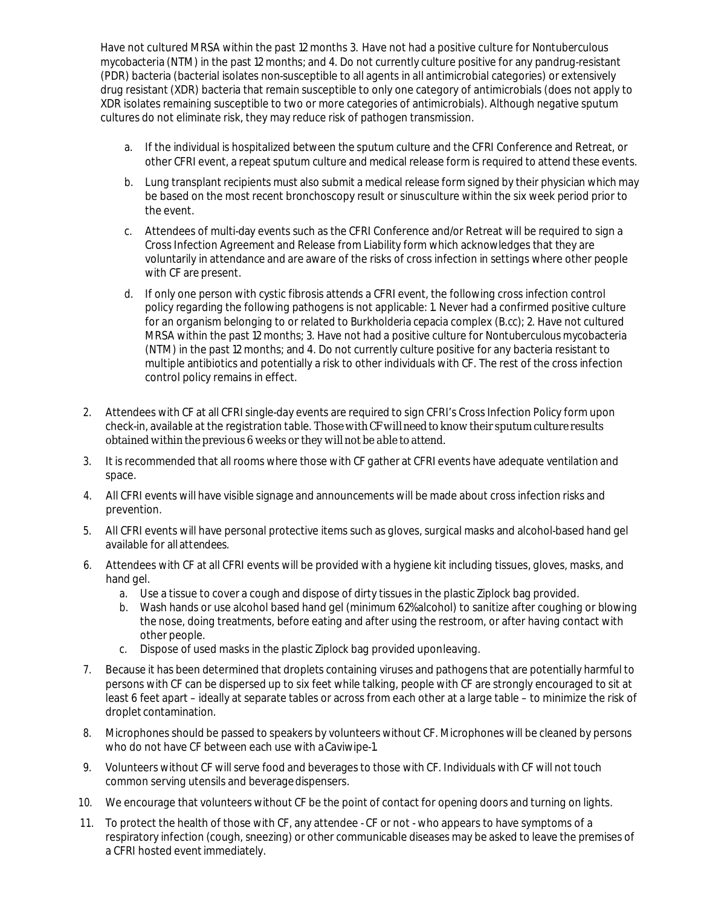Have not cultured MRSA within the past 12 months 3. Have not had a positive culture for *Nontuberculous mycobacteria* (NTM) in the past 12 months; and 4. Do not currently culture positive for any pandrug-resistant (PDR) bacteria (bacterial isolates non-susceptible to all agents in all antimicrobial categories) or extensively drug resistant (XDR) bacteria that remain susceptible to only one category of antimicrobials (does not apply to XDR isolates remaining susceptible to two or more categories of antimicrobials). Although negative sputum cultures do not eliminate risk, they may reduce risk of pathogen transmission.

- a. If the individual is hospitalized between the sputum culture and the CFRI Conference and Retreat, or other CFRI event, a repeat sputum culture and medical release form is required to attend these events.
- b. Lung transplant recipients must also submit a medical release form signed by their physician which may be based on the most recent bronchoscopy result or sinusculture within the six week period prior to the event.
- c. Attendees of multi-day events such as the CFRI Conference and/or Retreat will be required to sign a Cross Infection Agreement and Release from Liability form which acknowledges that they are voluntarily in attendance and are aware of the risks of cross infection in settings where other people with CF are present.
- d. If only one person with cystic fibrosis attends a CFRI event, the following cross infection control policy regarding the following pathogens is not applicable: 1. Never had a confirmed positive culture for an organism belonging to or related to *Burkholderia cepacia* complex (*B.cc*); 2. Have not cultured MRSA within the past 12 months; 3. Have not had a positive culture for *Nontuberculous mycobacteria*  (NTM) in the past 12 months; and 4. Do not currently culture positive for any bacteria resistant to multiple antibiotics and potentially a risk to other individuals with CF. The rest of the cross infection control policy remains in effect.
- 2. Attendees with CF at all CFRI single-day events are required to sign CFRI's Cross Infection Policy form upon check-in, available at the registration table. Those with CF will need to know their sputum culture results obtained within the previous 6 weeks or they willnot be able to attend.
- 3. It is recommended that all rooms where those with CF gather at CFRI events have adequate ventilation and space.
- 4. All CFRI events will have visible signage and announcements will be made about cross infection risks and prevention.
- 5. All CFRI events will have personal protective items such as gloves, surgical masks and alcohol-based hand gel available for *all attendees*.
- 6. Attendees with CF at all CFRI events will be provided with a hygiene kit including tissues, gloves, masks, and hand gel.
	- a. Use a tissue to cover a cough and dispose of dirty tissues in the plastic *Ziplock* bag provided.
	- b. Wash hands or use alcohol based hand gel (minimum 62% alcohol) to sanitize after coughing or blowing the nose, doing treatments, before eating and after using the restroom, or after having contact with other people.
	- c. Dispose of used masks in the plastic *Ziplock* bag provided uponleaving.
- 7. Because it has been determined that droplets containing viruses and pathogens that are potentially harmful to persons with CF can be dispersed up to six feet while talking, people with CF are strongly encouraged to sit at least 6 feet apart – ideally at separate tables or across from each other at a large table – to minimize the risk of droplet contamination.
- 8. Microphones should be passed to speakers by volunteers without CF. Microphones will be cleaned by persons who do not have CF between each use with aCaviwipe-1.
- 9. Volunteers without CF will serve food and beverages to those with CF. Individuals with CF will not touch common serving utensils and beveragedispensers.
- 10. We encourage that volunteers without CF be the point of contact for opening doors and turning on lights.
- 11. To protect the health of those with CF, any attendee CF or not who appears to have symptoms of a respiratory infection (cough, sneezing) or other communicable diseases may be asked to leave the premises of a CFRI hosted eventimmediately.